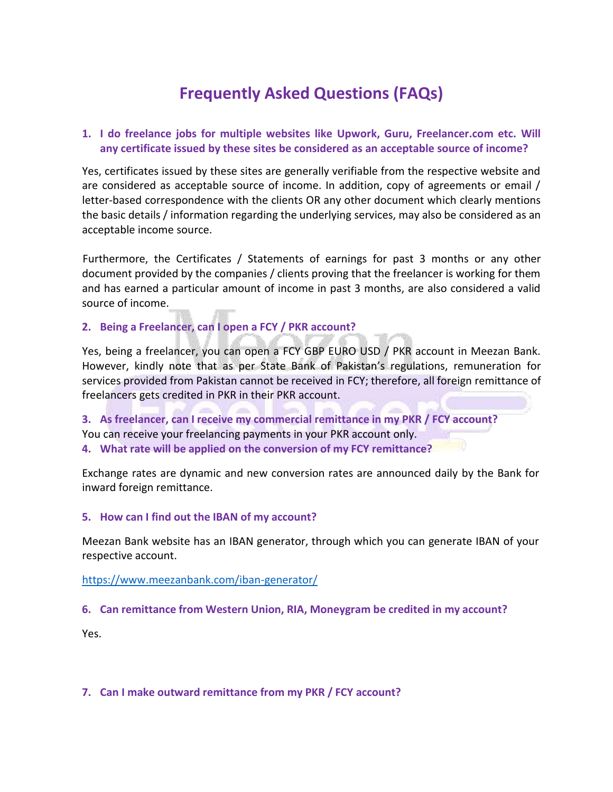# **Frequently Asked Questions (FAQs)**

# **1. I do freelance jobs for multiple websites like Upwork, Guru, Freelancer.com etc. Will any certificate issued by these sites be considered as an acceptable source of income?**

Yes, certificates issued by these sites are generally verifiable from the respective website and are considered as acceptable source of income. In addition, copy of agreements or email / letter-based correspondence with the clients OR any other document which clearly mentions the basic details / information regarding the underlying services, may also be considered as an acceptable income source.

Furthermore, the Certificates / Statements of earnings for past 3 months or any other document provided by the companies / clients proving that the freelancer is working for them and has earned a particular amount of income in past 3 months, are also considered a valid source of income.

# **2. Being a Freelancer, can I open a FCY / PKR account?**

Yes, being a freelancer, you can open a FCY GBP EURO USD / PKR account in Meezan Bank. However, kindly note that as per State Bank of Pakistan's regulations, remuneration for services provided from Pakistan cannot be received in FCY; therefore, all foreign remittance of freelancers gets credited in PKR in their PKR account.

**3. As freelancer, can I receive my commercial remittance in my PKR / FCY account?** You can receive your freelancing payments in your PKR account only. **4. What rate will be applied on the conversion of my FCY remittance?**

Exchange rates are dynamic and new conversion rates are announced daily by the Bank for inward foreign remittance.

#### **5. How can I find out the IBAN of my account?**

Meezan Bank website has an IBAN generator, through which you can generate IBAN of your respective account.

#### <https://www.meezanbank.com/iban-generator/>

#### **6. Can remittance from Western Union, RIA, Moneygram be credited in my account?**

Yes.

#### **7. Can I make outward remittance from my PKR / FCY account?**